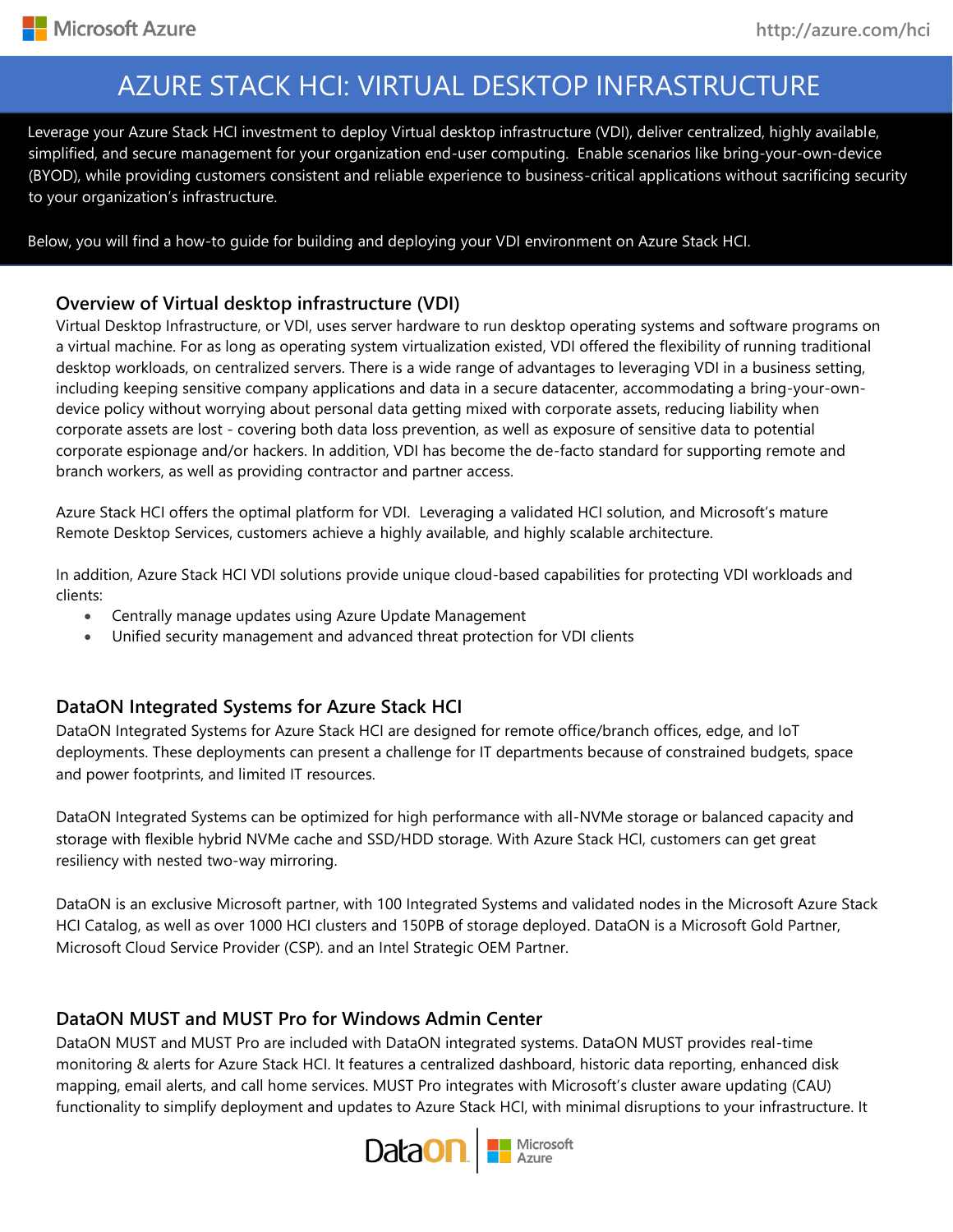# AZURE STACK HCI: VIRTUAL DESKTOP INFRASTRUCTURE

su simplified, and secure management for your organization end-user computing. Enable scenarios like bring-your-own-device Leverage your Azure Stack HCI investment to deploy Virtual desktop infrastructure (VDI), deliver centralized, highly available, (BYOD), while providing customers consistent and reliable experience to business-critical applications without sacrificing security to your organization's infrastructure.

Below, you will find a how-to guide for building and deploying your VDI environment on Azure Stack HCI.

### **Overview of Virtual desktop infrastructure (VDI)**

Virtual Desktop Infrastructure, or VDI, uses server hardware to run desktop operating systems and software programs on a virtual machine. For as long as operating system virtualization existed, VDI offered the flexibility of running traditional desktop workloads, on centralized servers. There is a wide range of advantages to leveraging VDI in a business setting, including keeping sensitive company applications and data in a secure datacenter, accommodating a bring-your-owndevice policy without worrying about personal data getting mixed with corporate assets, reducing liability when corporate assets are lost - covering both data loss prevention, as well as exposure of sensitive data to potential corporate espionage and/or hackers. In addition, VDI has become the de-facto standard for supporting remote and branch workers, as well as providing contractor and partner access.

Azure Stack HCI offers the optimal platform for VDI. Leveraging a validated HCI solution, and Microsoft's mature Remote Desktop Services, customers achieve a highly available, and highly scalable architecture.

In addition, Azure Stack HCI VDI solutions provide unique cloud-based capabilities for protecting VDI workloads and clients:

- Centrally manage updates using Azure Update Management
- Unified security management and advanced threat protection for VDI clients

### **DataON Integrated Systems for Azure Stack HCI**

DataON Integrated Systems for Azure Stack HCI are designed for remote office/branch offices, edge, and IoT deployments. These deployments can present a challenge for IT departments because of constrained budgets, space and power footprints, and limited IT resources.

DataON Integrated Systems can be optimized for high performance with all-NVMe storage or balanced capacity and storage with flexible hybrid NVMe cache and SSD/HDD storage. With Azure Stack HCI, customers can get great resiliency with nested two-way mirroring.

DataON is an exclusive Microsoft partner, with 100 Integrated Systems and validated nodes in the Microsoft Azure Stack HCI Catalog, as well as over 1000 HCI clusters and 150PB of storage deployed. DataON is a Microsoft Gold Partner, Microsoft Cloud Service Provider (CSP). and an Intel Strategic OEM Partner.

### **DataON MUST and MUST Pro for Windows Admin Center**

DataON MUST and MUST Pro are included with DataON integrated systems. DataON MUST provides real-time monitoring & alerts for Azure Stack HCI. It features a centralized dashboard, historic data reporting, enhanced disk mapping, email alerts, and call home services. MUST Pro integrates with Microsoft's cluster aware updating (CAU) functionality to simplify deployment and updates to Azure Stack HCI, with minimal disruptions to your infrastructure. It

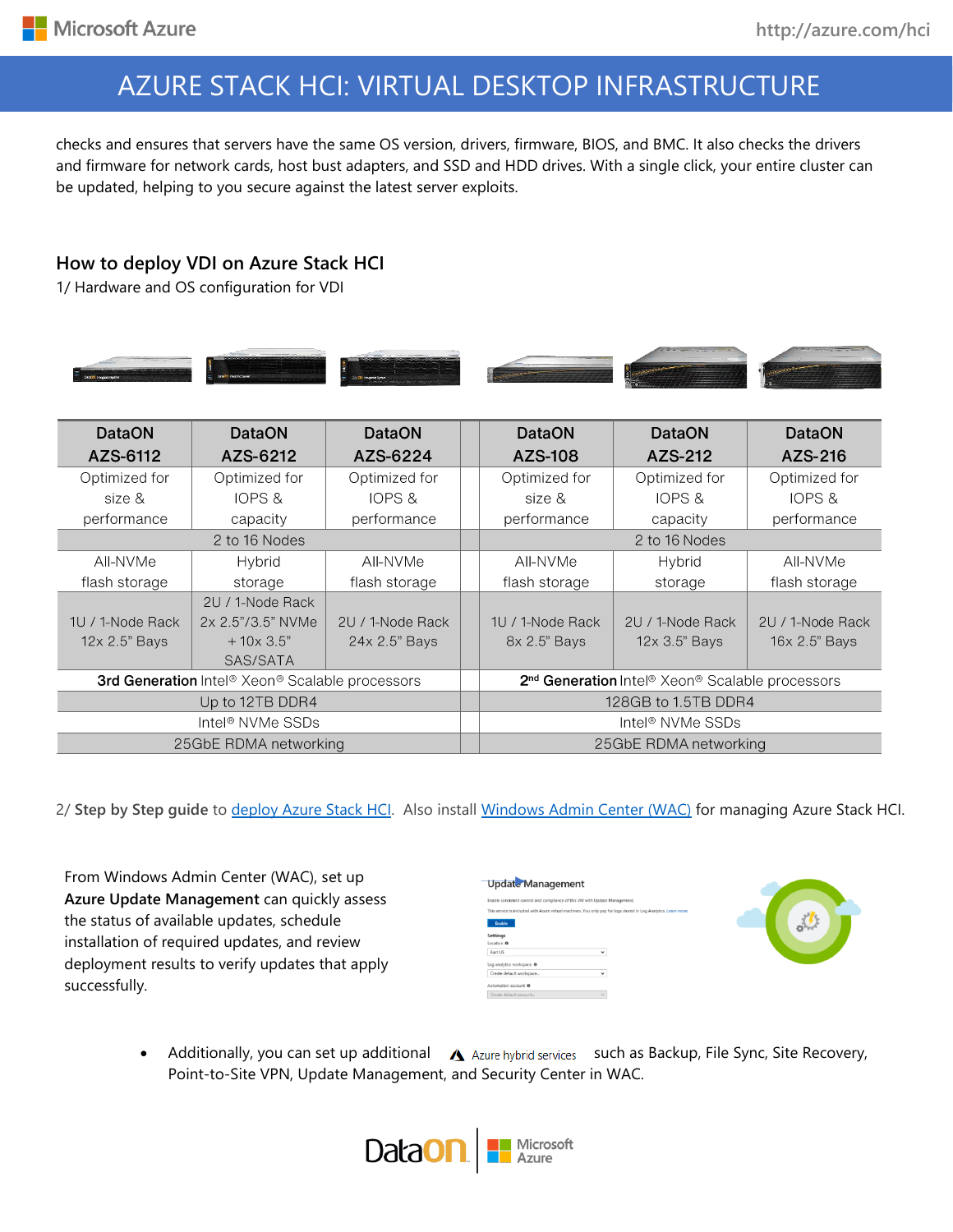# AZURE STACK HCI: VIRTUAL DESKTOP INFRASTRUCTURE

checks and ensures that servers have the same OS version, drivers, firmware, BIOS, and BMC. It also checks the drivers and firmware for network cards, host bust adapters, and SSD and HDD drives. With a single click, your entire cluster can be updated, helping to you secure against the latest server exploits.

### **How to deploy VDI on Azure Stack HCI**

1/ Hardware and OS configuration for VDI



| <b>DataON</b>                                   | <b>DataON</b>         | <b>DataON</b>    | <b>DataON</b>                                                                       | <b>DataON</b>         | <b>DataON</b>    |  |
|-------------------------------------------------|-----------------------|------------------|-------------------------------------------------------------------------------------|-----------------------|------------------|--|
| AZS-6112                                        | AZS-6212              | AZS-6224         | AZS-108                                                                             | AZS-212               | AZS-216          |  |
| Optimized for                                   | Optimized for         | Optimized for    | Optimized for                                                                       | Optimized for         | Optimized for    |  |
| size &                                          | <b>IOPS &amp;</b>     | IOPS &           | size &                                                                              | IOPS &                | IOPS &           |  |
| performance                                     | capacity              | performance      | performance                                                                         | capacity              | performance      |  |
| 2 to 16 Nodes                                   |                       |                  | 2 to 16 Nodes                                                                       |                       |                  |  |
| AII-NVMe                                        | Hybrid                | AII-NVMe         | All-NVMe                                                                            | Hybrid                | AII-NVMe         |  |
| flash storage                                   | storage               | flash storage    | flash storage                                                                       | storage               | flash storage    |  |
|                                                 | 2U / 1-Node Rack      |                  |                                                                                     |                       |                  |  |
| 1U / 1-Node Rack                                | 2x 2.5"/3.5" NVMe     | 2U / 1-Node Rack | 1U / 1-Node Rack                                                                    | 2U / 1-Node Rack      | 2U / 1-Node Rack |  |
| 12x 2.5" Bays                                   | $+10x3.5"$            | 24x 2.5" Bays    | 8x 2.5" Bays                                                                        | 12x 3.5" Bays         | 16x 2.5" Bays    |  |
|                                                 | SAS/SATA              |                  |                                                                                     |                       |                  |  |
| 3rd Generation Intel® Xeon® Scalable processors |                       |                  | 2 <sup>nd</sup> Generation Intel <sup>®</sup> Xeon <sup>®</sup> Scalable processors |                       |                  |  |
| Up to 12TB DDR4                                 |                       |                  | 128GB to 1.5TB DDR4                                                                 |                       |                  |  |
| Intel <sup>®</sup> NVMe SSDs                    |                       |                  | Intel <sup>®</sup> NVMe SSDs                                                        |                       |                  |  |
|                                                 | 25GbE RDMA networking |                  |                                                                                     | 25GbE RDMA networking |                  |  |

2/ **Step by Step guide** to [deploy Azure Stack HCI.](https://docs.microsoft.com/azure-stack/hci/) Also install [Windows Admin Center \(WAC\)](https://aka.ms/windowsadmincenter) for managing Azure Stack HCI.

From Windows Admin Center (WAC), set up **Azure Update Management** can quickly assess the status of available updates, schedule installation of required updates, and review deployment results to verify updates that apply successfully.

| <b>Update Management</b>                                                    |                                                                                                              |  |
|-----------------------------------------------------------------------------|--------------------------------------------------------------------------------------------------------------|--|
| Enable consistent control and compliance of this VM with Update Management. |                                                                                                              |  |
|                                                                             | This service is included with Azure virtual machines. You only pay for logs stored in Log Analytics. Learn i |  |
| <b>Enable</b>                                                               |                                                                                                              |  |
| <b>Settings</b>                                                             |                                                                                                              |  |
| Location ®                                                                  |                                                                                                              |  |
| East US                                                                     | $\checkmark$                                                                                                 |  |
| Log analytics workspace @                                                   |                                                                                                              |  |
| Create default workspace                                                    | $\checkmark$                                                                                                 |  |
| Automation account @                                                        |                                                                                                              |  |
| Create default account                                                      | $\sim$                                                                                                       |  |



Additionally, you can set up additional  $\Delta$  Azure hybrid services such as Backup, File Sync, Site Recovery, Point-to-Site VPN, Update Management, and Security Center in WAC.